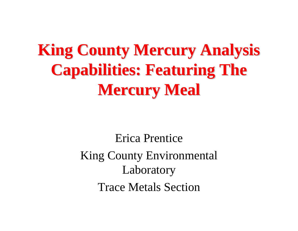# **King County Mercury Analysis Capabilities: Featuring The Capabilities: Featuring The Mercury Meal Mercury Meal**

Erica PrenticeKing County Environmental Laboratory Trace Metals Section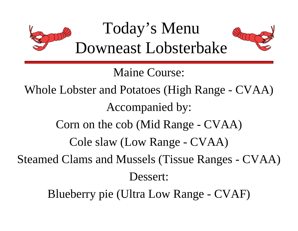

Maine Course:

Whole Lobster and Potatoes (High Range - CVAA) Accompanied by:

Corn on the cob (Mid Range - CVAA)

Cole slaw (Low Range - CVAA)

Steamed Clams and Mussels (Tissue Ranges - CVAA) Dessert:

Blueberry pie (Ultra Low Range - CVAF)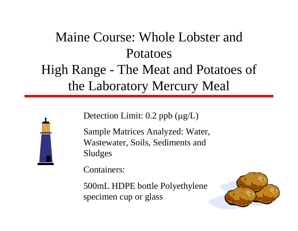# Maine Course: Whole Lobster and PotatoesHigh Range - The Meat and Potatoes of the Laboratory Mercury Meal



Detection Limit: 0.2 ppb ( μg/L)

Sample Matrices Analyzed: Water, Wastewater, Soils, Sediments and Sludges

Containers:

500mL HDPE bottle Polyethylene specimen cup or glass

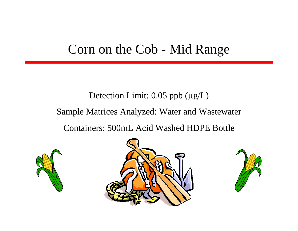## Corn on the Cob - Mid Range

# Detection Limit: 0.05 ppb ( μg/L) Sample Matrices Analyzed: Water and Wastewater Containers: 500mL Acid Washed HDPE Bottle





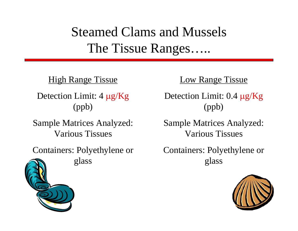Steamed Clams and Mussels The Tissue Ranges…..

#### **High Range Tissue**

Detection Limit: 4 μg/Kg (ppb)

Sample Matrices Analyzed: Various Tissues

Containers: Polyethylene or glass

#### Low Range Tissue

Detection Limit: 0.4 μg/Kg (ppb)

Sample Matrices Analyzed: Various Tissues

Containers: Polyethylene or glass

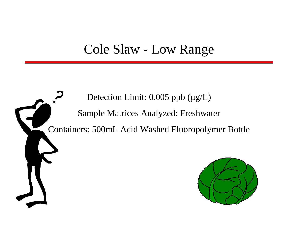### Cole Slaw - Low Range

Detection Limit: 0.005 ppb ( μg/L) Sample Matrices Analyzed: Freshwater Containers: 500mL Acid Washed Fluoropolymer Bottle

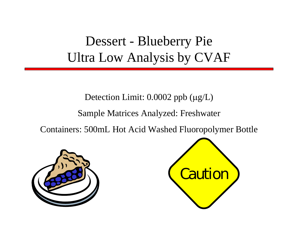# Dessert - Blueberry Pie Ultra Low Analysis by CVAF

#### Detection Limit: 0.0002 ppb ( μg/L)

#### Sample Matrices Analyzed: Freshwater

Containers: 500mL Hot Acid Washed Fluoropolymer Bottle



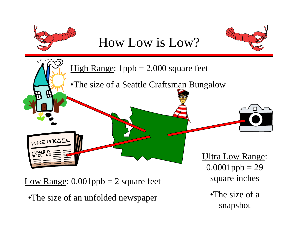

Low Range:  $0.001$ ppb = 2 square feet

•The size of an unfolded newspaper

 $0.0001$ ppb = 29 square inches

> •The size of a snapshot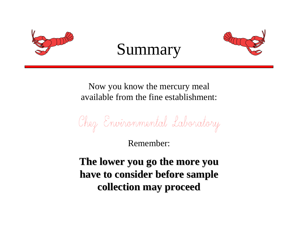





Now you know the mercury meal available from the fine establishment:

Chez Environmental Laboratory

Remember:

The lower you go the more you **have to consider before sample have to consider before sample collection may proceed collection may proceed**